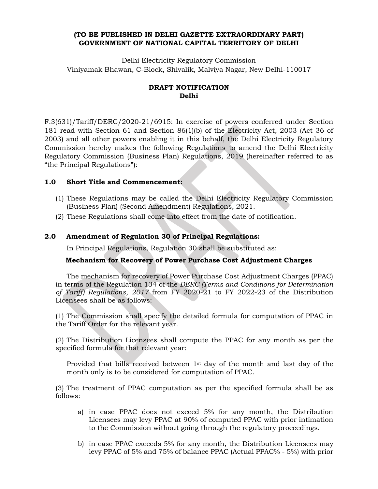#### **(TO BE PUBLISHED IN DELHI GAZETTE EXTRAORDINARY PART) GOVERNMENT OF NATIONAL CAPITAL TERRITORY OF DELHI**

Delhi Electricity Regulatory Commission Viniyamak Bhawan, C-Block, Shivalik, Malviya Nagar, New Delhi-110017

## **DRAFT NOTIFICATION Delhi**

F.3(631)/Tariff/DERC/2020-21/6915: In exercise of powers conferred under Section 181 read with Section 61 and Section 86(1)(b) of the Electricity Act, 2003 (Act 36 of 2003) and all other powers enabling it in this behalf, the Delhi Electricity Regulatory Commission hereby makes the following Regulations to amend the Delhi Electricity Regulatory Commission (Business Plan) Regulations, 2019 (hereinafter referred to as "the Principal Regulations"):

## **1.0 Short Title and Commencement:**

- (1) These Regulations may be called the Delhi Electricity Regulatory Commission (Business Plan) (Second Amendment) Regulations, 2021.
- (2) These Regulations shall come into effect from the date of notification.

## **2.0 Amendment of Regulation 30 of Principal Regulations:**

In Principal Regulations, Regulation 30 shall be substituted as:

# **Mechanism for Recovery of Power Purchase Cost Adjustment Charges**

The mechanism for recovery of Power Purchase Cost Adjustment Charges (PPAC) in terms of the Regulation 134 of the *DERC (Terms and Conditions for Determination of Tariff) Regulations, 2017* from FY 2020-21 to FY 2022-23 of the Distribution Licensees shall be as follows:

(1) The Commission shall specify the detailed formula for computation of PPAC in the Tariff Order for the relevant year.

(2) The Distribution Licensees shall compute the PPAC for any month as per the specified formula for that relevant year:

Provided that bills received between  $1<sup>st</sup>$  day of the month and last day of the month only is to be considered for computation of PPAC.

(3) The treatment of PPAC computation as per the specified formula shall be as follows:

- a) in case PPAC does not exceed 5% for any month, the Distribution Licensees may levy PPAC at 90% of computed PPAC with prior intimation to the Commission without going through the regulatory proceedings.
- b) in case PPAC exceeds 5% for any month, the Distribution Licensees may levy PPAC of 5% and 75% of balance PPAC (Actual PPAC% - 5%) with prior